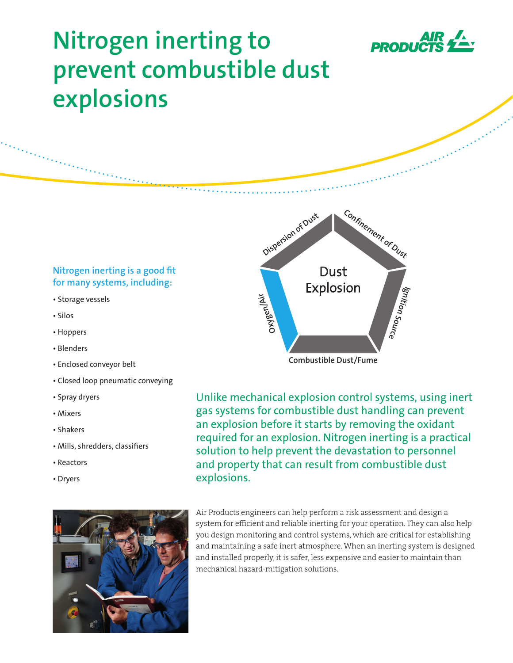

a shekarar wasan kata ya guda ya guda ya guda ya guda ya guda ya guda ya guda ya guda ya guda ya guda ya guda<br>Marejeo

# **Nitrogen inerting to prevent combustible dust explosions**

## **Nitrogen inerting is a good fit for many systems, including:**

- Storage vessels
- Silos
- Hoppers
- Blenders
- Enclosed conveyor belt
- Closed loop pneumatic conveying
- Spray dryers
- Mixers
- Shakers
- Mills, shredders, classifiers
- Reactors
- Dryers





Unlike mechanical explosion control systems, using inert gas systems for combustible dust handling can prevent an explosion before it starts by removing the oxidant required for an explosion. Nitrogen inerting is a practical solution to help prevent the devastation to personnel and property that can result from combustible dust explosions.

Air Products engineers can help perform a risk assessment and design a system for efficient and reliable inerting for your operation. They can also help you design monitoring and control systems, which are critical for establishing and maintaining a safe inert atmosphere. When an inerting system is designed and installed properly, it is safer, less expensive and easier to maintain than mechanical hazard-mitigation solutions.